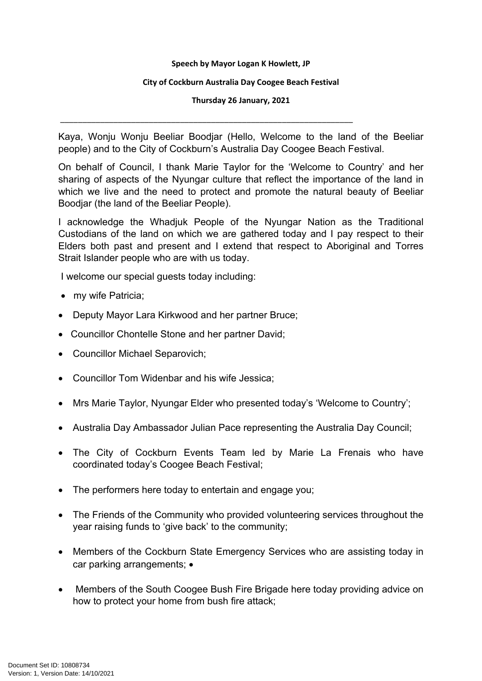## **Speech by Mayor Logan K Howlett, JP**

## **City of Cockburn Australia Day Coogee Beach Festival**

**Thursday 26 January, 2021**

\_\_\_\_\_\_\_\_\_\_\_\_\_\_\_\_\_\_\_\_\_\_\_\_\_\_\_\_\_\_\_\_\_\_\_\_\_\_\_\_\_\_\_\_\_\_\_\_\_\_\_\_\_\_\_\_\_\_\_\_\_\_\_\_\_\_

Kaya, Wonju Wonju Beeliar Boodjar (Hello, Welcome to the land of the Beeliar people) and to the City of Cockburn's Australia Day Coogee Beach Festival.

On behalf of Council, I thank Marie Taylor for the 'Welcome to Country' and her sharing of aspects of the Nyungar culture that reflect the importance of the land in which we live and the need to protect and promote the natural beauty of Beeliar Boodjar (the land of the Beeliar People).

I acknowledge the Whadjuk People of the Nyungar Nation as the Traditional Custodians of the land on which we are gathered today and I pay respect to their Elders both past and present and I extend that respect to Aboriginal and Torres Strait Islander people who are with us today.

I welcome our special guests today including:

- my wife Patricia;
- Deputy Mayor Lara Kirkwood and her partner Bruce;
- Councillor Chontelle Stone and her partner David;
- Councillor Michael Separovich;
- Councillor Tom Widenbar and his wife Jessica;
- Mrs Marie Taylor, Nyungar Elder who presented today's 'Welcome to Country';
- Australia Day Ambassador Julian Pace representing the Australia Day Council;
- The City of Cockburn Events Team led by Marie La Frenais who have coordinated today's Coogee Beach Festival;
- The performers here today to entertain and engage you;
- The Friends of the Community who provided volunteering services throughout the year raising funds to 'give back' to the community;
- Members of the Cockburn State Emergency Services who are assisting today in car parking arrangements; •
- Members of the South Coogee Bush Fire Brigade here today providing advice on how to protect your home from bush fire attack;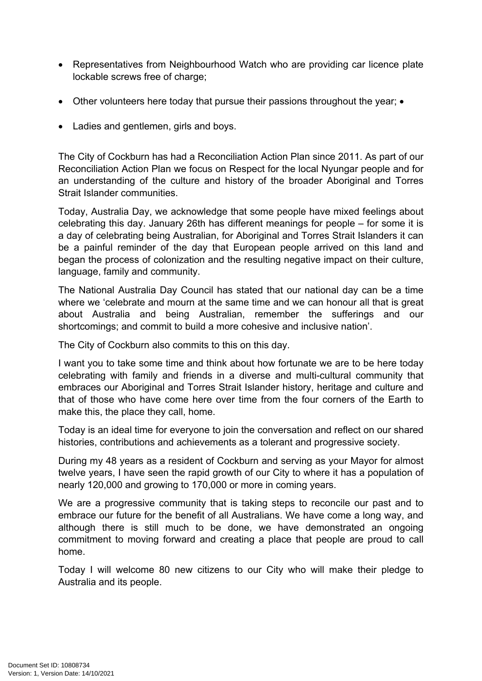- Representatives from Neighbourhood Watch who are providing car licence plate lockable screws free of charge;
- Other volunteers here today that pursue their passions throughout the year; •
- Ladies and gentlemen, girls and boys.

The City of Cockburn has had a Reconciliation Action Plan since 2011. As part of our Reconciliation Action Plan we focus on Respect for the local Nyungar people and for an understanding of the culture and history of the broader Aboriginal and Torres Strait Islander communities.

Today, Australia Day, we acknowledge that some people have mixed feelings about celebrating this day. January 26th has different meanings for people – for some it is a day of celebrating being Australian, for Aboriginal and Torres Strait Islanders it can be a painful reminder of the day that European people arrived on this land and began the process of colonization and the resulting negative impact on their culture, language, family and community.

The National Australia Day Council has stated that our national day can be a time where we 'celebrate and mourn at the same time and we can honour all that is great about Australia and being Australian, remember the sufferings and our shortcomings; and commit to build a more cohesive and inclusive nation'.

The City of Cockburn also commits to this on this day.

I want you to take some time and think about how fortunate we are to be here today celebrating with family and friends in a diverse and multi-cultural community that embraces our Aboriginal and Torres Strait Islander history, heritage and culture and that of those who have come here over time from the four corners of the Earth to make this, the place they call, home.

Today is an ideal time for everyone to join the conversation and reflect on our shared histories, contributions and achievements as a tolerant and progressive society.

During my 48 years as a resident of Cockburn and serving as your Mayor for almost twelve years, I have seen the rapid growth of our City to where it has a population of nearly 120,000 and growing to 170,000 or more in coming years.

We are a progressive community that is taking steps to reconcile our past and to embrace our future for the benefit of all Australians. We have come a long way, and although there is still much to be done, we have demonstrated an ongoing commitment to moving forward and creating a place that people are proud to call home.

Today I will welcome 80 new citizens to our City who will make their pledge to Australia and its people.